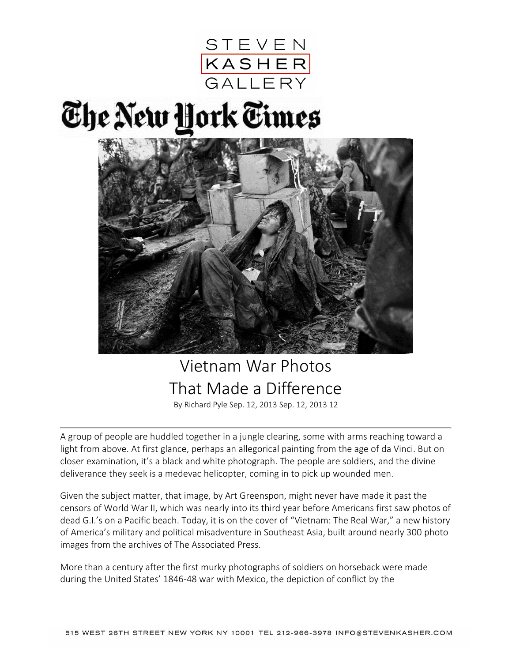

## The New York Times



## Vietnam War Photos That Made a Difference

By Richard Pyle Sep. 12, 2013 Sep. 12, 2013 [12](http://lens.blogs.nytimes.com/2013/09/12/vietnam-war-photos-that-made-a-difference/#commentsContainer)

A group of people are huddled together in a jungle clearing, some with arms reaching toward a light from above. At first glance, perhaps an allegorical painting from the age of da Vinci. But on closer examination, it's a black and white photograph. The people are soldiers, and the divine deliverance they seek is a medevac helicopter, coming in to pick up wounded men.

Given the subject matter, that image, by Art Greenspon, might never have made it past the censors of World War II, which was nearly into its third year before Americans first saw photos of dead G.I.'s on a Pacific beach. Today, it is on the cover of "[Vietnam: The Real](http://www.abramsbooks.com/Books/Vietnam__The_Real_War-9781419708640.html) War," a new history of America's military and political misadventure in Southeast Asia, built around nearly 300 photo images from the archives of The Associated Press.

More than a century after the first murky photographs of soldiers on horseback were made during the United States' 1846-48 war with Mexico, the [depiction of conflict by the](http://www.nytimes.com/2013/09/05/arts/design/images-of-the-vietnam-war-that-defined-an-era.html)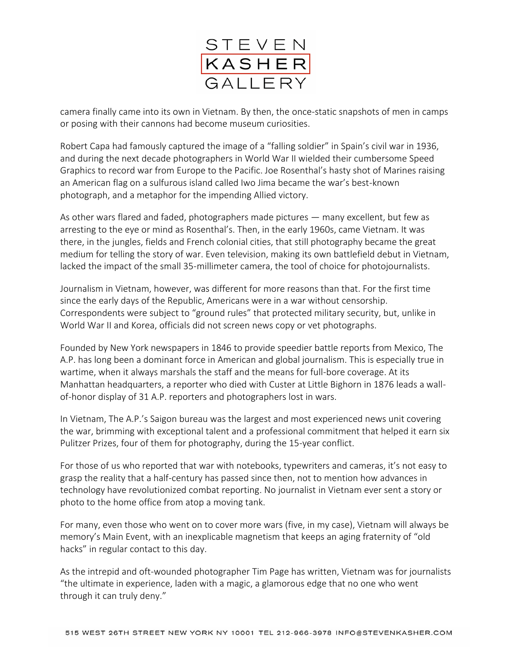

[camera](http://www.nytimes.com/2013/09/05/arts/design/images-of-the-vietnam-war-that-defined-an-era.html) finally came into its own in Vietnam. By then, the once-static snapshots of men in camps or posing with their cannons had become museum curiosities.

Robert Capa had famously captured the image of a "falling soldier" in Spain's civil war in 1936, and during the next decade photographers in World War II wielded their cumbersome Speed Graphics to record war from Europe to the Pacific. Joe Rosenthal's hasty shot of Marines raising an American flag on a sulfurous island called Iwo Jima became the war's best-known photograph, and a metaphor for the impending Allied victory.

As other wars flared and faded, photographers made pictures — many excellent, but few as arresting to the eye or mind as Rosenthal's. Then, in the early 1960s, came Vietnam. It was there, in the jungles, fields and French colonial cities, that still photography became the great medium for telling the story of war. Even television, making its own battlefield debut in Vietnam, lacked the impact of the small 35-millimeter camera, the tool of choice for photojournalists.

Journalism in Vietnam, however, was different for more reasons than that. For the first time since the early days of the Republic, Americans were in a war without censorship. Correspondents were subject to "ground rules" that protected military security, but, unlike in World War II and Korea, officials did not screen news copy or vet photographs.

Founded by New York newspapers in 1846 to provide speedier battle reports from Mexico, The A.P. has long been a dominant force in American and global journalism. This is especially true in wartime, when it always marshals the staff and the means for full-bore coverage. At its Manhattan headquarters, a reporter who died with Custer at Little Bighorn in 1876 leads a wallof-honor display of 31 A.P. reporters and photographers lost in wars.

In Vietnam, The A.P.'s Saigon bureau was the largest and most experienced news unit covering the war, brimming with exceptional talent and a professional commitment that helped it earn six Pulitzer Prizes, four of them for photography, during the 15-year conflict.

For those of us who reported that war with notebooks, typewriters and cameras, it's not easy to grasp the reality that a half-century has passed since then, not to mention how advances in technology have revolutionized combat reporting. No journalist in Vietnam ever sent a story or photo to the home office from atop a moving tank.

For many, even those who went on to cover more wars (five, in my case), Vietnam will always be memory's Main Event, with an inexplicable magnetism that keeps an aging fraternity of "old hacks" in regular contact to this day.

As the intrepid and oft-wounded photographer Tim Page has written, Vietnam was for journalists "the ultimate in experience, laden with a magic, a glamorous edge that no one who went through it can truly deny."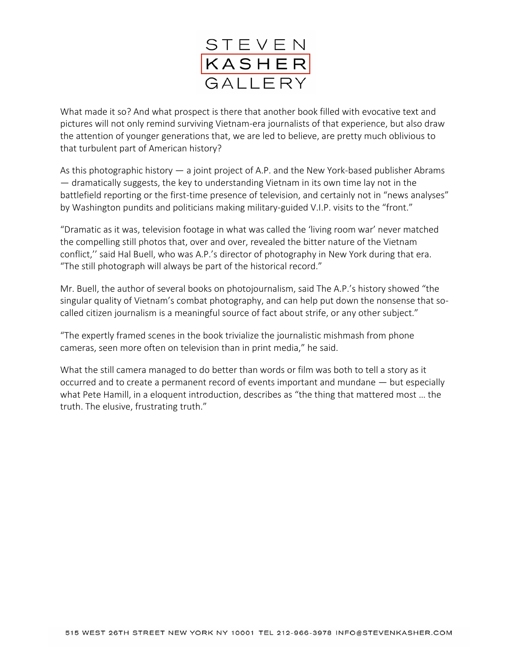

What made it so? And what prospect is there that another book filled with evocative text and pictures will not only remind surviving Vietnam-era journalists of that experience, but also draw the attention of younger generations that, we are led to believe, are pretty much oblivious to that turbulent part of American history?

As this photographic history — a joint project of A.P. and the New York-based publisher Abrams — dramatically suggests, the key to understanding Vietnam in its own time lay not in the battlefield reporting or the first-time presence of television, and certainly not in "news analyses" by Washington pundits and politicians making military-guided V.I.P. visits to the "front."

"Dramatic as it was, television footage in what was called the 'living room war' never matched the compelling still photos that, over and over, revealed the bitter nature of the Vietnam conflict,'' said Hal Buell, who was A.P.'s director of photography in New York during that era. "The still photograph will always be part of the historical record."

Mr. Buell, the author of several books on photojournalism, said The A.P.'s history showed "the singular quality of Vietnam's combat photography, and can help put down the nonsense that socalled citizen journalism is a meaningful source of fact about strife, or any other subject."

"The expertly framed scenes in the book trivialize the journalistic mishmash from phone cameras, seen more often on television than in print media," he said.

What the still camera managed to do better than words or film was both to tell a story as it occurred and to create a permanent record of events important and mundane — but especially what Pete Hamill, in a eloquent introduction, describes as "the thing that mattered most … the truth. The elusive, frustrating truth."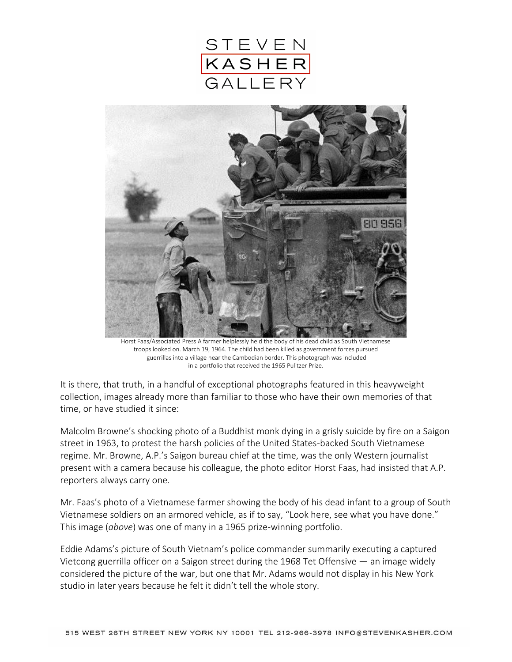



Horst Faas/Associated Press A farmer helplessly held the body of his dead child as South Vietnamese troops looked on. March 19, 1964. The child had been killed as government forces pursued guerrillas into a village near the Cambodian border. This photograph was included in a portfolio that received the 1965 Pulitzer Prize.

It is there, that truth, in a handful of exceptional photographs featured in this heavyweight collection, images already more than familiar to those who have their own memories of that time, or have studied it since:

Malcolm Browne's shocking photo of a Buddhist monk dying in a grisly suicide by fire on a Saigon street in 1963, to protest the harsh policies of the United States-backed South Vietnamese regime. Mr. Browne, A.P.'s Saigon bureau chief at the time, was the only Western journalist present with a camera because his colleague, the photo editor [Horst Faas,](http://lens.blogs.nytimes.com/2012/05/10/a-parting-glance-horst-faas/) had insisted that A.P. reporters always carry one.

Mr. Faas's photo of a Vietnamese farmer showing the body of his dead infant to a group of South Vietnamese soldiers on an armored vehicle, as if to say, "Look here, see what you have done." This image (*above*) was one of many in a 1965 prize-winning portfolio.

Eddie Adams's picture of South Vietnam's police commander summarily executing a captured Vietcong guerrilla officer on a Saigon street during the 1968 Tet Offensive — an image widely considered the picture of the war, but one that Mr. Adams would not display in his New York studio in later years because he felt it didn't tell the whole story.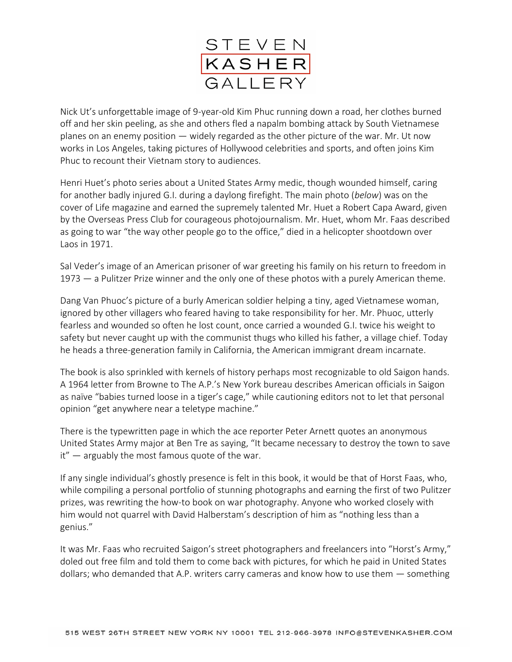

Nick Ut's unforgettable image of 9-year-old Kim Phuc running down a road, her clothes burned off and her skin peeling, as she and others fled a napalm bombing attack by South Vietnamese planes on an enemy position — widely regarded as the other picture of the war. Mr. Ut now works in Los Angeles, taking pictures of Hollywood celebrities and sports, and often joins Kim Phuc to recount their Vietnam story to audiences.

Henri Huet's photo series about a United States Army medic, though wounded himself, caring for another badly injured G.I. during a daylong firefight. The main photo (*below*) was on the cover of Life magazine and earned the supremely talented Mr. Huet a Robert Capa Award, given by the Overseas Press Club for courageous photojournalism. Mr. Huet, whom Mr. Faas described as going to war "the way other people go to the office," died in a helicopter shootdown over Laos in 1971.

Sal Veder's image of an American prisoner of war greeting his family on his return to freedom in 1973 — a Pulitzer Prize winner and the only one of these photos with a purely American theme.

Dang Van Phuoc's picture of a burly American soldier helping a tiny, aged Vietnamese woman, ignored by other villagers who feared having to take responsibility for her. Mr. Phuoc, utterly fearless and wounded so often he lost count, once carried a wounded G.I. twice his weight to safety but never caught up with the communist thugs who killed his father, a village chief. Today he heads a three-generation family in California, the American immigrant dream incarnate.

The book is also sprinkled with kernels of history perhaps most recognizable to old Saigon hands. A 1964 letter from Browne to The A.P.'s New York bureau describes American officials in Saigon as naïve "babies turned loose in a tiger's cage," while cautioning editors not to let that personal opinion "get anywhere near a teletype machine."

There is the typewritten page in which the ace reporter Peter Arnett quotes an anonymous United States Army major at Ben Tre as saying, "It became necessary to destroy the town to save it" — arguably the most famous quote of the war.

If any single individual's ghostly presence is felt in this book, it would be that of [Horst Faas,](http://lens.blogs.nytimes.com/2012/05/12/horst-faas-a-last-hurrah/) who, while compiling a personal portfolio of stunning photographs and earning the first of two Pulitzer prizes, was rewriting the how-to book on war photography. Anyone who worked closely with him would not quarrel with David Halberstam's description of him as "nothing less than a genius."

It was Mr. Faas who recruited Saigon's street photographers and freelancers into "Horst's Army," doled out free film and told them to come back with pictures, for which he paid in United States dollars; who demanded that A.P. writers carry cameras and know how to use them — something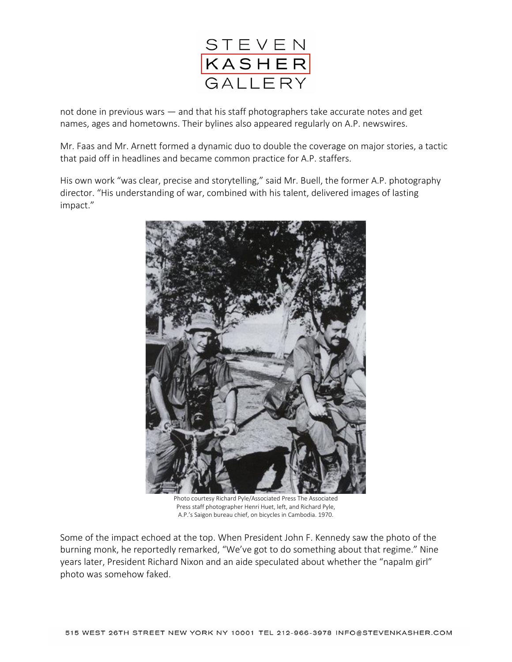

not done in previous wars — and that his staff photographers take accurate notes and get names, ages and hometowns. Their bylines also appeared regularly on A.P. newswires.

Mr. Faas and Mr. Arnett formed a dynamic duo to double the coverage on major stories, a tactic that paid off in headlines and became common practice for A.P. staffers.

His own work "was clear, precise and storytelling," said Mr. Buell, the former A.P. photography director. "His understanding of war, combined with his talent, delivered images of lasting impact."



Photo courtesy Richard Pyle/Associated Press The Associated Press staff photographer Henri Huet, left, and Richard Pyle, A.P.'s Saigon bureau chief, on bicycles in Cambodia. 1970.

Some of the impact echoed at the top. When President John F. Kennedy saw the photo of the burning monk, he reportedly remarked, "We've got to do something about that regime." Nine years later, President Richard Nixon and an aide speculated about whether the "napalm girl" photo was somehow faked.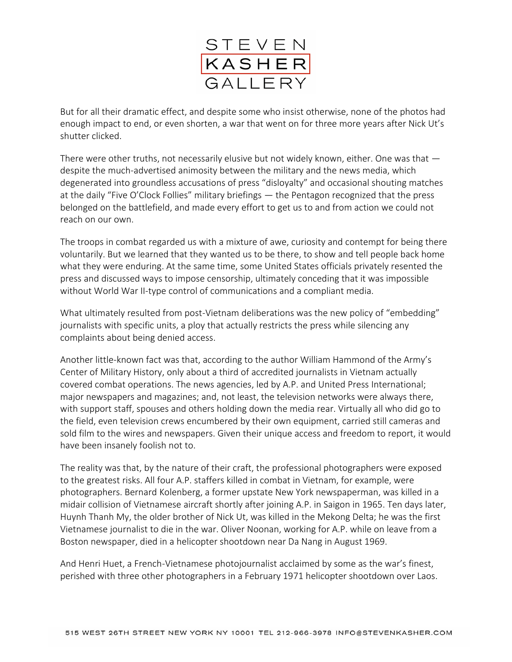

But for all their dramatic effect, and despite some who insist otherwise, none of the photos had enough impact to end, or even shorten, a war that went on for three more years after Nick Ut's shutter clicked.

There were other truths, not necessarily elusive but not widely known, either. One was that despite the much-advertised animosity between the military and the news media, which degenerated into groundless accusations of press "disloyalty" and occasional shouting matches at the daily "Five O'Clock Follies" military briefings — the Pentagon recognized that the press belonged on the battlefield, and made every effort to get us to and from action we could not reach on our own.

The troops in combat regarded us with a mixture of awe, curiosity and contempt for being there voluntarily. But we learned that they wanted us to be there, to show and tell people back home what they were enduring. At the same time, some United States officials privately resented the press and discussed ways to impose censorship, ultimately conceding that it was impossible without World War II-type control of communications and a compliant media.

What ultimately resulted from post-Vietnam deliberations was the new policy of "embedding" journalists with specific units, a ploy that actually restricts the press while silencing any complaints about being denied access.

Another little-known fact was that, according to the author William Hammond of the Army's Center of Military History, only about a third of accredited journalists in Vietnam actually covered combat operations. The news agencies, led by A.P. and United Press International; major newspapers and magazines; and, not least, the television networks were always there, with support staff, spouses and others holding down the media rear. Virtually all who did go to the field, even television crews encumbered by their own equipment, carried still cameras and sold film to the wires and newspapers. Given their unique access and freedom to report, it would have been insanely foolish not to.

The reality was that, by the nature of their craft, the professional photographers were exposed to the greatest risks. All four A.P. staffers killed in combat in Vietnam, for example, were photographers. Bernard Kolenberg, a former upstate New York newspaperman, was killed in a midair collision of Vietnamese aircraft shortly after joining A.P. in Saigon in 1965. Ten days later, Huynh Thanh My, the older brother of Nick Ut, was killed in the Mekong Delta; he was the first Vietnamese journalist to die in the war. Oliver Noonan, working for A.P. while on leave from a Boston newspaper, died in a helicopter shootdown near Da Nang in August 1969.

And Henri Huet, a French-Vietnamese photojournalist acclaimed by some as the war's finest, perished with three other photographers in a February 1971 helicopter shootdown over Laos.